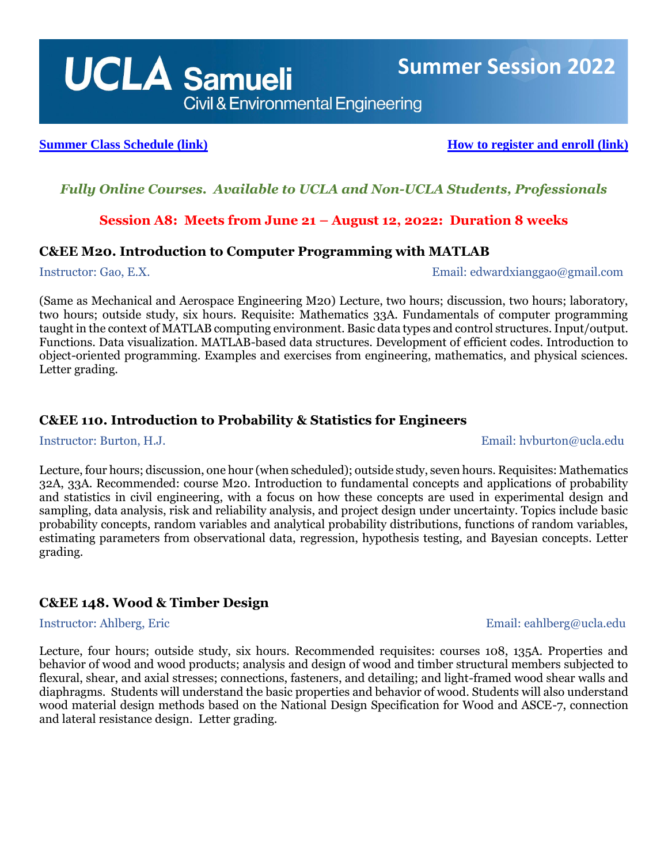# *Fully Online Courses. Available to UCLA and Non-UCLA Students, Professionals*

# **Session A8: Meets from June 21 – August 12, 2022: Duration 8 weeks**

## **C&EE M20. Introduction to Computer Programming with MATLAB**

Instructor: Gao, E.X. Email: edwardxianggao@gmail.com

(Same as Mechanical and Aerospace Engineering M20) Lecture, two hours; discussion, two hours; laboratory, two hours; outside study, six hours. Requisite: Mathematics 33A. Fundamentals of computer programming taught in the context of MATLAB computing environment. Basic data types and control structures. Input/output. Functions. Data visualization. MATLAB-based data structures. Development of efficient codes. Introduction to object-oriented programming. Examples and exercises from engineering, mathematics, and physical sciences. Letter grading.

# **C&EE 110. Introduction to Probability & Statistics for Engineers**

Instructor: Burton, H.J. Email: hvburton@ucla.edu

Lecture, four hours; discussion, one hour (when scheduled); outside study, seven hours. Requisites: Mathematics 32A, 33A. Recommended: course M20. Introduction to fundamental concepts and applications of probability and statistics in civil engineering, with a focus on how these concepts are used in experimental design and sampling, data analysis, risk and reliability analysis, and project design under uncertainty. Topics include basic probability concepts, random variables and analytical probability distributions, functions of random variables, estimating parameters from observational data, regression, hypothesis testing, and Bayesian concepts. Letter grading.

# **C&EE 148. Wood & Timber Design**

Lecture, four hours; outside study, six hours. Recommended requisites: courses 108, 135A. Properties and behavior of wood and wood products; analysis and design of wood and timber structural members subjected to flexural, shear, and axial stresses; connections, fasteners, and detailing; and light-framed wood shear walls and diaphragms. Students will understand the basic properties and behavior of wood. Students will also understand wood material design methods based on the National Design Specification for Wood and ASCE-7, connection and lateral resistance design. Letter grading.

 **Summer Session 2022**

## Instructor: Ahlberg, Eric Email: eahlberg@ucla.edu

# **[Summer Class Schedule \(link\)](https://sa.ucla.edu/ro/public/soc/Results?SubjectAreaName=Civil+and+Environmental+Engineering+(C%26EE)&t=221&s_g_cd=%25&sBy=subject&subj=C%26EE+++&catlg=&cls_no=&undefined=Go&btnIsInIndex=btn_inIndex) [How to register and enroll \(link\)](https://summer.ucla.edu/registration/)**